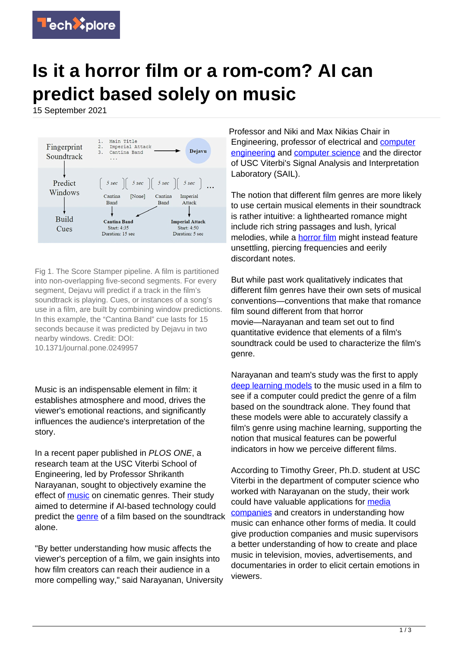

## **Is it a horror film or a rom-com? AI can predict based solely on music**

15 September 2021



Fig 1. The Score Stamper pipeline. A film is partitioned into non-overlapping five-second segments. For every segment, Dejavu will predict if a track in the film's soundtrack is playing. Cues, or instances of a song's use in a film, are built by combining window predictions. In this example, the "Cantina Band" cue lasts for 15 seconds because it was predicted by Dejavu in two nearby windows. Credit: DOI: 10.1371/journal.pone.0249957

Music is an indispensable element in film: it establishes atmosphere and mood, drives the viewer's emotional reactions, and significantly influences the audience's interpretation of the story.

In a recent paper published in PLOS ONE, a research team at the USC Viterbi School of Engineering, led by Professor Shrikanth Narayanan, sought to objectively examine the effect of [music](https://techxplore.com/tags/music/) on cinematic genres. Their study aimed to determine if AI-based technology could predict the [genre](https://techxplore.com/tags/genre/) of a film based on the soundtrack alone.

"By better understanding how music affects the viewer's perception of a film, we gain insights into how film creators can reach their audience in a more compelling way," said Narayanan, University Professor and Niki and Max Nikias Chair in Engineering, professor of electrical and [computer](https://techxplore.com/tags/computer+engineering/) [engineering](https://techxplore.com/tags/computer+engineering/) and [computer science](https://techxplore.com/tags/computer+science/) and the director of USC Viterbi's Signal Analysis and Interpretation Laboratory (SAIL).

The notion that different film genres are more likely to use certain musical elements in their soundtrack is rather intuitive: a lighthearted romance might include rich string passages and lush, lyrical melodies, while a **[horror film](https://techxplore.com/tags/horror+film/)** might instead feature unsettling, piercing frequencies and eerily discordant notes.

But while past work qualitatively indicates that different film genres have their own sets of musical conventions—conventions that make that romance film sound different from that horror movie—Narayanan and team set out to find quantitative evidence that elements of a film's soundtrack could be used to characterize the film's genre.

Narayanan and team's study was the first to apply [deep learning models](https://techxplore.com/tags/deep+learning+models/) to the music used in a film to see if a computer could predict the genre of a film based on the soundtrack alone. They found that these models were able to accurately classify a film's genre using machine learning, supporting the notion that musical features can be powerful indicators in how we perceive different films.

According to Timothy Greer, Ph.D. student at USC Viterbi in the department of computer science who worked with Narayanan on the study, their work could have valuable applications for [media](https://techxplore.com/tags/media+companies/) [companies](https://techxplore.com/tags/media+companies/) and creators in understanding how music can enhance other forms of media. It could give production companies and music supervisors a better understanding of how to create and place music in television, movies, advertisements, and documentaries in order to elicit certain emotions in viewers.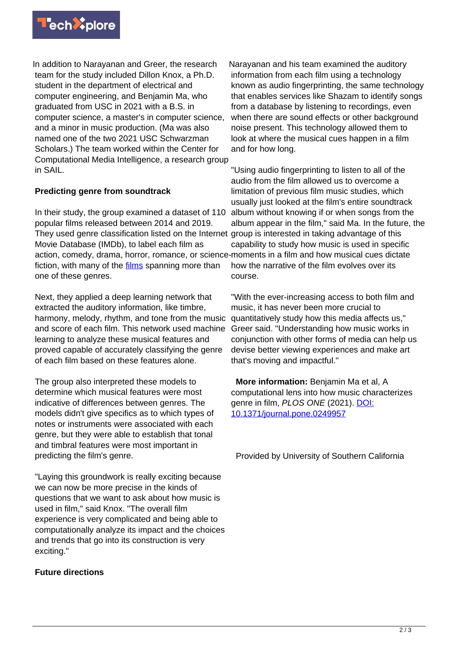

In addition to Narayanan and Greer, the research team for the study included Dillon Knox, a Ph.D. student in the department of electrical and computer engineering, and Benjamin Ma, who graduated from USC in 2021 with a B.S. in computer science, a master's in computer science, and a minor in music production. (Ma was also named one of the two 2021 USC Schwarzman Scholars.) The team worked within the Center for Computational Media Intelligence, a research group in SAIL.

## **Predicting genre from soundtrack**

In their study, the group examined a dataset of 110 popular films released between 2014 and 2019. They used genre classification listed on the Internet Movie Database (IMDb), to label each film as action, comedy, drama, horror, romance, or science-moments in a film and how musical cues dictate fiction, with many of the [films](https://techxplore.com/tags/films/) spanning more than one of these genres.

Next, they applied a deep learning network that extracted the auditory information, like timbre, harmony, melody, rhythm, and tone from the music and score of each film. This network used machine learning to analyze these musical features and proved capable of accurately classifying the genre of each film based on these features alone.

The group also interpreted these models to determine which musical features were most indicative of differences between genres. The models didn't give specifics as to which types of notes or instruments were associated with each genre, but they were able to establish that tonal and timbral features were most important in predicting the film's genre.

"Laying this groundwork is really exciting because we can now be more precise in the kinds of questions that we want to ask about how music is used in film," said Knox. "The overall film experience is very complicated and being able to computationally analyze its impact and the choices and trends that go into its construction is very exciting."

## **Future directions**

Narayanan and his team examined the auditory information from each film using a technology known as audio fingerprinting, the same technology that enables services like Shazam to identify songs from a database by listening to recordings, even when there are sound effects or other background noise present. This technology allowed them to look at where the musical cues happen in a film and for how long.

"Using audio fingerprinting to listen to all of the audio from the film allowed us to overcome a limitation of previous film music studies, which usually just looked at the film's entire soundtrack album without knowing if or when songs from the album appear in the film," said Ma. In the future, the group is interested in taking advantage of this capability to study how music is used in specific how the narrative of the film evolves over its course.

"With the ever-increasing access to both film and music, it has never been more crucial to quantitatively study how this media affects us," Greer said. "Understanding how music works in conjunction with other forms of media can help us devise better viewing experiences and make art that's moving and impactful."

 **More information:** Benjamin Ma et al, A computational lens into how music characterizes genre in film, PLOS ONE (2021). [DOI:](http://dx.doi.org/10.1371/journal.pone.0249957) [10.1371/journal.pone.0249957](http://dx.doi.org/10.1371/journal.pone.0249957)

Provided by University of Southern California